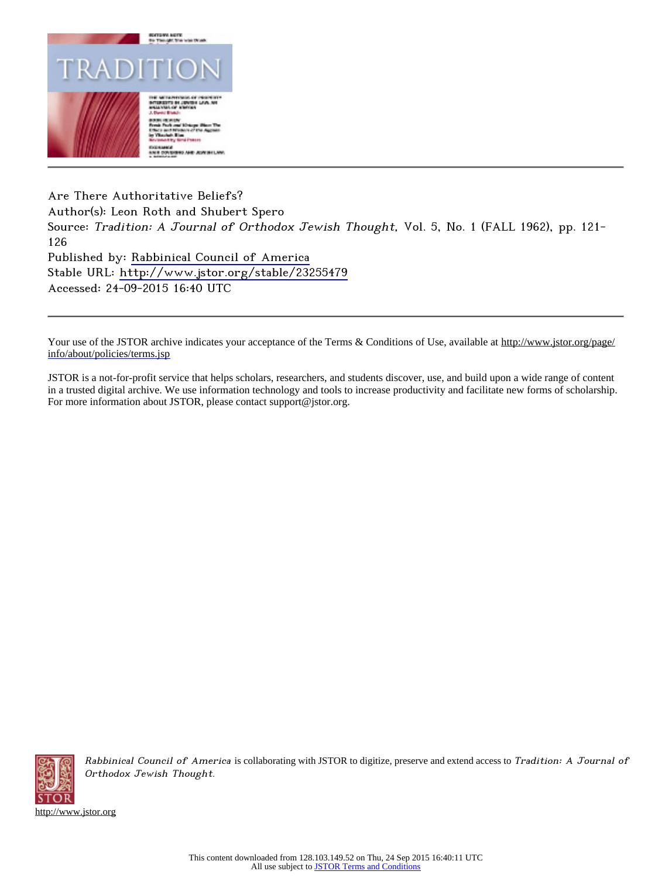

Are There Authoritative Beliefs? Author(s): Leon Roth and Shubert Spero Source: Tradition: A Journal of Orthodox Jewish Thought, Vol. 5, No. 1 (FALL 1962), pp. 121-126 Published by: Rabbinical Council of America Stable URL: http://www.jstor.org/stable/23255479 Accessed: 24-09-2015 16:40 UTC

Your use of the JSTOR archive indicates your acceptance of the Terms & Conditions of Use, available at http://www.jstor.org/page/ info/about/policies/terms.jsp

JSTOR is a not-for-profit service that helps scholars, researchers, and students discover, use, and build upon a wide range of content in a trusted digital archive. We use information technology and tools to increase productivity and facilitate new forms of scholarship. For more information about JSTOR, please contact support@jstor.org.



Rabbinical Council of America is collaborating with JSTOR to digitize, preserve and extend access to Tradition: A Journal of Orthodox Jewish Thought.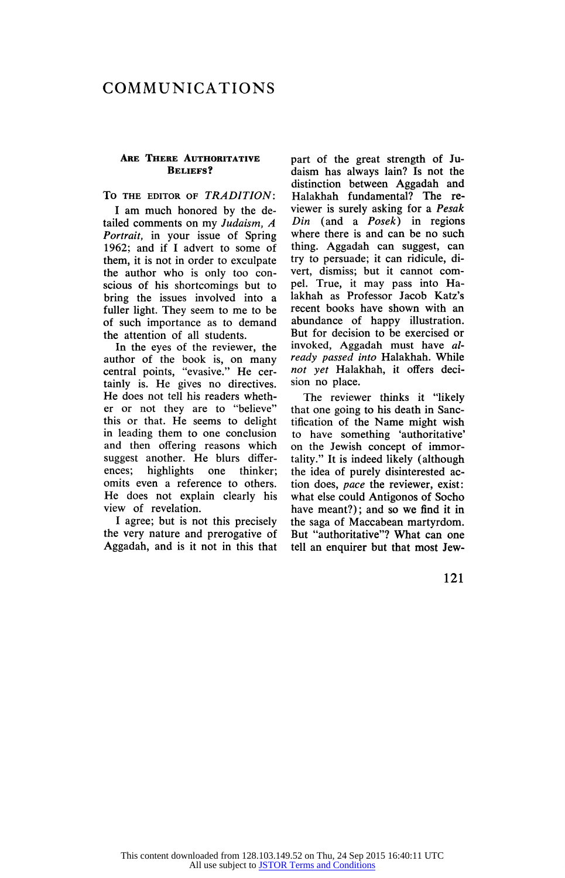# COMMUNICATIONS

### ARE THERE AUTHORITATIVE BELIEFS?

## TO THE EDITOR OF TRADITION:

I am much honored by the de tailed comments on my Judaism, A Portrait, in your issue of Spring 1962; and if I advert to some of them, it is not in order to exculpate the author who is only too con scious of his shortcomings but to bring the issues involved into a fuller light. They seem to me to be of such importance as to demand the attention of all students.

In the eyes of the reviewer, the author of the book is, on many central points, "evasive." He cer tainly is. He gives no directives. He does not tell his readers wheth er or not they are to "believe" this or that. He seems to delight in leading them to one conclusion and then offering reasons which suggest another. He blurs differ-<br>ences; highlights one thinker; highlights omits even a reference to others. He does not explain clearly his view of revelation.

I agree; but is not this precisely the very nature and prerogative of Aggadah, and is it not in this that part of the great strength of Ju daism has always lain? Is not the distinction between Aggadah and Halakhah fundamental? The re viewer is surely asking for a Pesak  $Din$  (and a  $Posek$ ) in regions where there is and can be no such thing. Aggadah can suggest, can try to persuade; it can ridicule, di vert, dismiss; but it cannot com pel. True, it may pass into Ha lakhah as Professor Jacob Katz's recent books have shown with an abundance of happy illustration. But for decision to be exercised or invoked, Aggadah must have al ready passed into Halakhah. While not yet Halakhah, it offers deci sion no place.

The reviewer thinks it "likely that one going to his death in Sanc tification of the Name might wish to have something 'authoritative' on the Jewish concept of immor tality." It is indeed likely (although the idea of purely disinterested ac tion does, pace the reviewer, exist: what else could Antigonos of Socho have meant?); and so we find it in the saga of Maccabean martyrdom. But "authoritative"? What can one tell an enquirer but that most Jew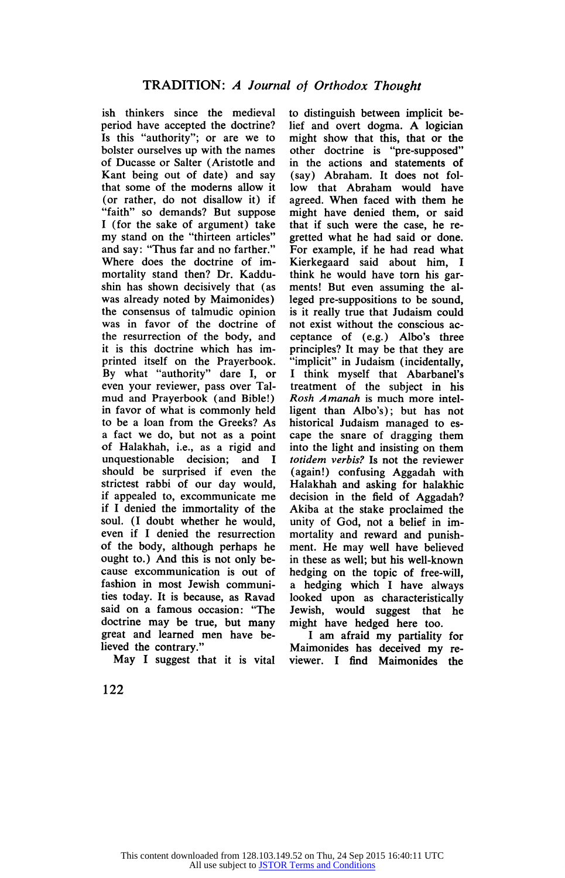ish thinkers since the medieval period have accepted the doctrine? Is this "authority"; or are we to bolster ourselves up with the names of Ducasse or Salter (Aristotle and Kant being out of date) and say that some of the moderns allow it (or rather, do not disallow it) if "faith" so demands? But suppose I (for the sake of argument) take my stand on the "thirteen articles" and say: "Thus far and no farther." Where does the doctrine of im mortality stand then? Dr. Kaddu shin has shown decisively that (as was already noted by Maimonides) the consensus of talmudic opinion was in favor of the doctrine of the resurrection of the body, and it is this doctrine which has im printed itself on the Prayerbook. By what "authority" dare I, or even your reviewer, pass over Tal mud and Prayerbook (and Bible!) in favor of what is commonly held to be a loan from the Greeks? As a fact we do, but not as a point of Halakhah, i.e., as a rigid and unquestionable decision; and I should be surprised if even the strictest rabbi of our day would, if appealed to, excommunicate me if I denied the immortality of the soul. (I doubt whether he would, even if I denied the resurrection of the body, although perhaps he ought to.) And this is not only be cause excommunication is out of fashion in most Jewish communi ties today. It is because, as Ravad said on a famous occasion: "The doctrine may be true, but many great and learned men have be lieved the contrary."

May I suggest that it is vital

to distinguish between implicit be lief and overt dogma. A logician might show that this, that or the other doctrine is "pre-supposed" in the actions and statements of (say) Abraham. It does not fol low that Abraham would have agreed. When faced with them he might have denied them, or said that if such were the case, he re gretted what he had said or done. For example, if he had read what Kierkegaard said about him, I think he would have torn his gar ments! But even assuming the al leged pre-suppositions to be sound, is it really true that Judaism could not exist without the conscious ac ceptance of (e.g.) Albo's three principles? It may be that they are "implicit" in Judaism (incidentally, I think myself that Abarbanel's treatment of the subject in his Rosh Amanah is much more intel ligent than Albo's); but has not historical Judaism managed to es cape the snare of dragging them into the light and insisting on them totidem verbis? Is not the reviewer (again!) confusing Aggadah with Halakhah and asking for halakhic decision in the field of Aggadah? Akiba at the stake proclaimed the unity of God, not a belief in im mortality and reward and punish ment. He may well have believed in these as well; but his well-known hedging on the topic of free-will, a hedging which I have always looked upon as characteristically Jewish, would suggest that he might have hedged here too.

I am afraid my partiality for Maimonides has deceived my re viewer. I find Maimonides the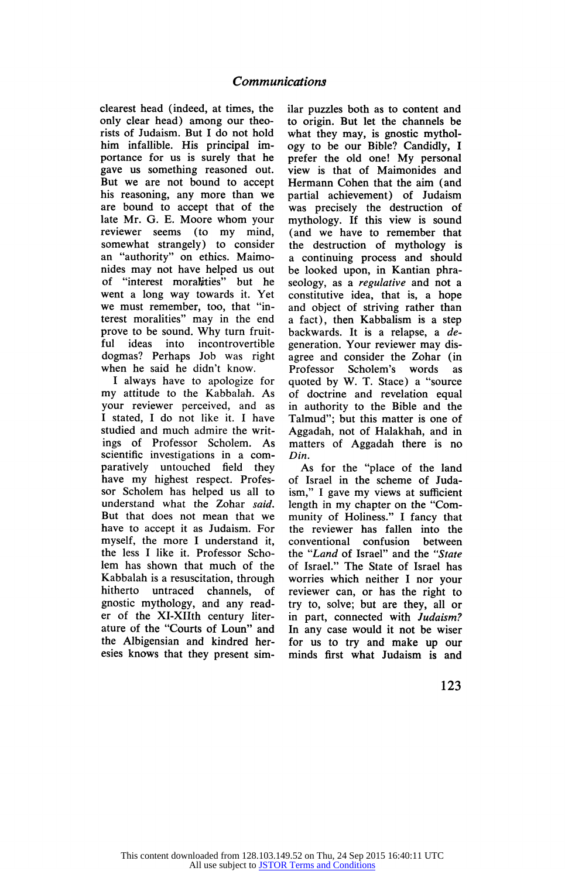clearest head (indeed, at times, the only clear head) among our theo rists of Judaism. But I do not hold him infallible. His principal im portance for us is surely that he gave us something reasoned out. But we are not bound to accept his reasoning, any more than we are bound to accept that of the late Mr. G. E. Moore whom your reviewer seems (to my mind, somewhat strangely) to consider an "authority" on ethics. Maimo nides may not have helped us out of "interest moralities" but he went a long way towards it. Yet we must remember, too, that "in terest moralities" may in the end prove to be sound. Why turn fruit-<br>ful ideas into incontrovertible ideas into incontrovertible dogmas? Perhaps Job was right when he said he didn't know.

1 always have to apologize for my attitude to the Kabbalah. As your reviewer perceived, and as I stated, I do not like it. I have studied and much admire the writ ings of Professor Scholem. As scientific investigations in a com paratively untouched field they have my highest respect. Profes sor Scholem has helped us all to understand what the Zohar said. But that does not mean that we have to accept it as Judaism. For myself, the more I understand it, the less I like it. Professor Scho lem has shown that much of the Kabbalah is a resuscitation, through hitherto untraced channels, of gnostic mythology, and any read er of the XI-XIIth century liter ature of the "Courts of Loun" and the Albigensian and kindred her esies knows that they present sim-

llar puzzles both as to content and to origin. But let the channels be what they may, is gnostic mythol ogy to be our Bible? Candidly, I prefer the old one! My personal view is that of Maimonides and Hermann Cohen that the aim (and partial achievement) of Judaism was precisely the destruction of mythology. If this view is sound (and we have to remember that the destruction of mythology is a continuing process and should be looked upon, in Kantian phra seology, as a *regulative* and not a constitutive idea, that is, a hope and object of striving rather than a fact), then Kabbalism is a step backwards. It is a relapse, a degeneration. Your reviewer may dis agree and consider the Zohar (in<br>Professor Scholem's words as Scholem's words quoted by W. T. Stace) a "source of doctrine and revelation equal in authority to the Bible and the Talmud"; but this matter is one of Aggadah, not of Halakhah, and in matters of Aggadah there is no Din.

As for the "place of the land of Israel in the scheme of Juda ism," I gave my views at sufficient length in my chapter on the "Com munity of Holiness." I fancy that the reviewer has fallen into the conventional confusion between the "Land of Israel" and the "State of Israel." The State of Israel has worries which neither I nor your reviewer can, or has the right to try to, solve; but are they, all or in part, connected with Judaism? In any case would it not be wiser for us to try and make up our minds first what Judaism is and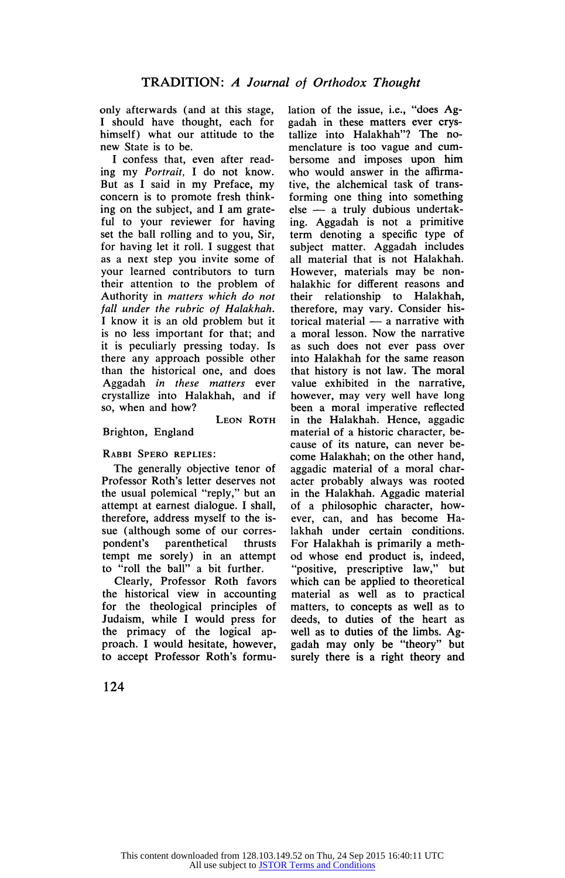only afterwards (and at this stage, I should have thought, each for himself) what our attitude to the new State is to be.

I confess that, even after read ing my Portrait, I do not know. But as I said in my Preface, my concern is to promote fresh think ing on the subject, and I am grate ful to your reviewer for having set the ball rolling and to you, Sir, for having let it roll. I suggest that as a next step you invite some of your learned contributors to turn their attention to the problem of Authority in matters which do not fall under the rubric of Halakhah. I know it is an old problem but it is no less important for that; and it is peculiarly pressing today. Is there any approach possible other than the historical one, and does Aggadah in these matters ever crystallize into Halakhah, and if so, when and how? LEON ROTH

Brighton, England

## Rabbi Spero replies:

The generally objective tenor of Professor Roth's letter deserves not the usual polemical "reply," but an attempt at earnest dialogue. I shall, therefore, address myself to the is sue (although some of our corres-<br>pondent's parenthetical thrusts pondent's parenthetical thrusts tempt me sorely) in an attempt to "roll the ball" a bit further.

Clearly, Professor Roth favors the historical view in accounting for the theological principles of Judaism, while I would press for the primacy of the logical ap proach. I would hesitate, however, to accept Professor Roth's formu

lation of the issue, i.e., "does Ag gadah in these matters ever crys tallize into Halakhah"? The no menclature is too vague and cum bersome and imposes upon him who would answer in the affirma tive, the alchemical task of trans forming one thing into something else — a truly dubious undertak ing. Aggadah is not a primitive term denoting a specific type of subject matter. Aggadah includes all material that is not Halakhah. However, materials may be non halakhic for different reasons and their relationship to Halakhah, therefore, may vary. Consider his torical material — a narrative with a moral lesson. Now the narrative as such does not ever pass over into Halakhah for the same reason that history is not law. The moral value exhibited in the narrative, however, may very well have long been a moral imperative reflected in the Halakhah. Hence, aggadic material of a historic character, be cause of its nature, can never be come Halakhah; on the other hand, aggadic material of a moral char acter probably always was rooted in the Halakhah. Aggadic material of a philosophic character, how ever, can, and has become Ha lakhah under certain conditions. For Halakhah is primarily a meth od whose end product is, indeed, "positive, prescriptive law," but which can be applied to theoretical material as well as to practical matters, to concepts as well as to deeds, to duties of the heart as well as to duties of the limbs. Ag gadah may only be "theory" but surely there is a right theory and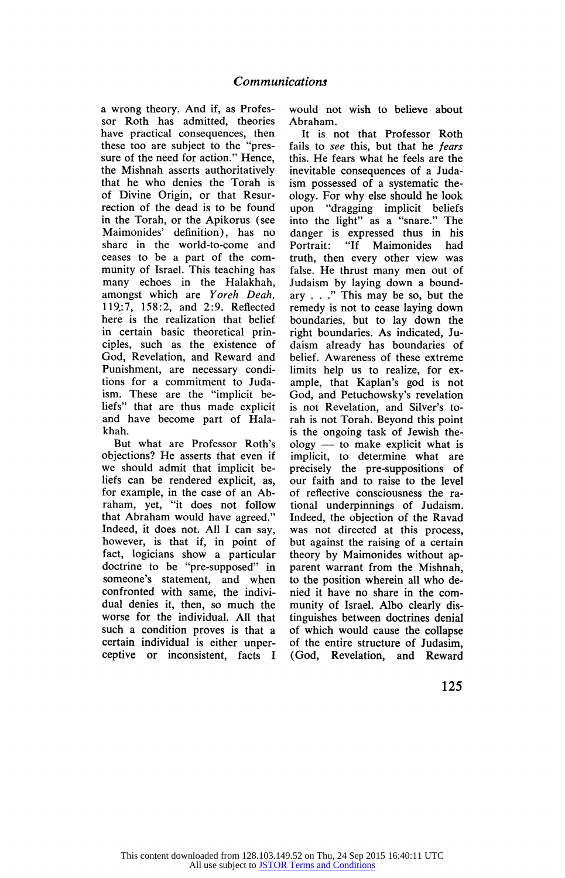a wrong theory. And it, as Frotes sor Roth has admitted, theories have practical consequences, then these too are subject to the "pres sure of the need for action." Hence, the Mishnah asserts authoritatively that he who denies the Torah is of Divine Origin, or that Resur rection of the dead is to be found in the Torah, or the Apikorus (see Maimonides' definition), has no share in the world-to-come and ceases to be a part of the com munity of Israel. This teaching has many echoes in the Halakhah, amongst which are Yoreh Deah, 119.:7, 158:2, and 2:9. Reflected here is the realization that belief in certain basic theoretical prin ciples, such as the existence of God, Revelation, and Reward and Punishment, are necessary condi tions for a commitment to Juda ism. These are the "implicit be liefs" that are thus made explicit and have become part of Hala khah.

But what are Professor Roth's objections? He asserts that even if we should admit that implicit be liefs can be rendered explicit, as, for example, in the case of an Ab raham, yet, "it does not follow that Abraham would have agreed." Indeed, it does not. All I can say, however, is that if, in point of fact, logicians show a particular doctrine to be "pre-supposed" in someone's statement, and when confronted with same, the indivi dual denies it, then, so much the worse for the individual. All that such a condition proves is that a certain individual is either unper ceptive or inconsistent, facts I

would not wish to believe about Abraham.

It is not that Professor Roth fails to see this, but that he fears this. He fears what he feels are the inevitable consequences of a Juda ism possessed of a systematic the ology. For why else should he look upon "dragging implicit beliefs into the light" as a "snare." The danger is expressed thus in his Portrait: "If Maimonides had truth, then every other view was false. He thrust many men out of Judaism by laying down a bound ary  $\ldots$ ." This may be so, but the remedy is not to cease laying down boundaries, but to lay down the right boundaries. As indicated, Ju daism already has boundaries of belief. Awareness of these extreme limits help us to realize, for ex ample, that Kaplan's god is not God, and Petuchowsky's revelation is not Revelation, and Silver's to rah is not Torah. Beyond this point is the ongoing task of Jewish the ology — to make explicit what is implicit, to determine what are precisely the pre-suppositions of our faith and to raise to the level of reflective consciousness the ra tional underpinnings of Judaism. Indeed, the objection of the Ravad was not directed at this process, but against the raising of a certain theory by Maimonides without ap parent warrant from the Mishnah, to the position wherein all who de nied it have no share in the com munity of Israel. Albo clearly dis tinguishes between doctrines denial of which would cause the collapse of the entire structure of Judasim, (God, Revelation, and Reward